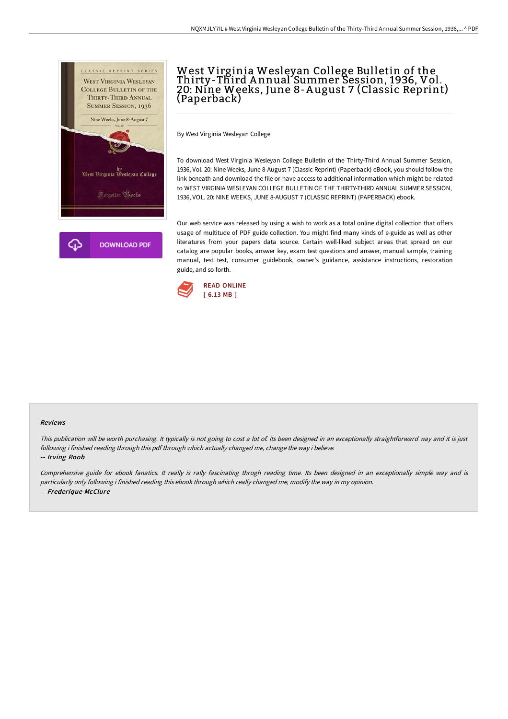

## West Virginia Wesleyan College Bulletin of the Thirty-Third A nnual Summer Session, 1936, Vol. 20: Nine Weeks, June 8-A ugust 7 (Classic Reprint) (Paperback)

By West Virginia Wesleyan College

To download West Virginia Wesleyan College Bulletin of the Thirty-Third Annual Summer Session, 1936, Vol. 20: Nine Weeks, June 8-August 7 (Classic Reprint) (Paperback) eBook, you should follow the link beneath and download the file or have access to additional information which might be related to WEST VIRGINIA WESLEYAN COLLEGE BULLETIN OF THE THIRTY-THIRD ANNUAL SUMMER SESSION, 1936, VOL. 20: NINE WEEKS, JUNE 8-AUGUST 7 (CLASSIC REPRINT) (PAPERBACK) ebook.

Our web service was released by using a wish to work as a total online digital collection that offers usage of multitude of PDF guide collection. You might find many kinds of e-guide as well as other literatures from your papers data source. Certain well-liked subject areas that spread on our catalog are popular books, answer key, exam test questions and answer, manual sample, training manual, test test, consumer guidebook, owner's guidance, assistance instructions, restoration guide, and so forth.



## Reviews

This publication will be worth purchasing. It typically is not going to cost <sup>a</sup> lot of. Its been designed in an exceptionally straightforward way and it is just following i finished reading through this pdf through which actually changed me, change the way i believe. -- Irving Roob

Comprehensive guide for ebook fanatics. It really is rally fascinating throgh reading time. Its been designed in an exceptionally simple way and is particularly only following i finished reading this ebook through which really changed me, modify the way in my opinion. -- Frederique McClure